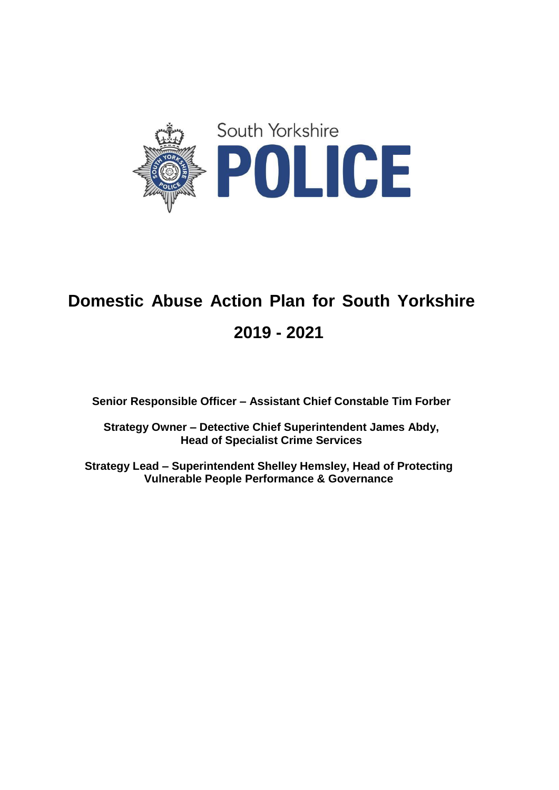

# **Domestic Abuse Action Plan for South Yorkshire 2019 - 2021**

**Senior Responsible Officer – Assistant Chief Constable Tim Forber**

**Strategy Owner – Detective Chief Superintendent James Abdy, Head of Specialist Crime Services**

**Strategy Lead – Superintendent Shelley Hemsley, Head of Protecting Vulnerable People Performance & Governance**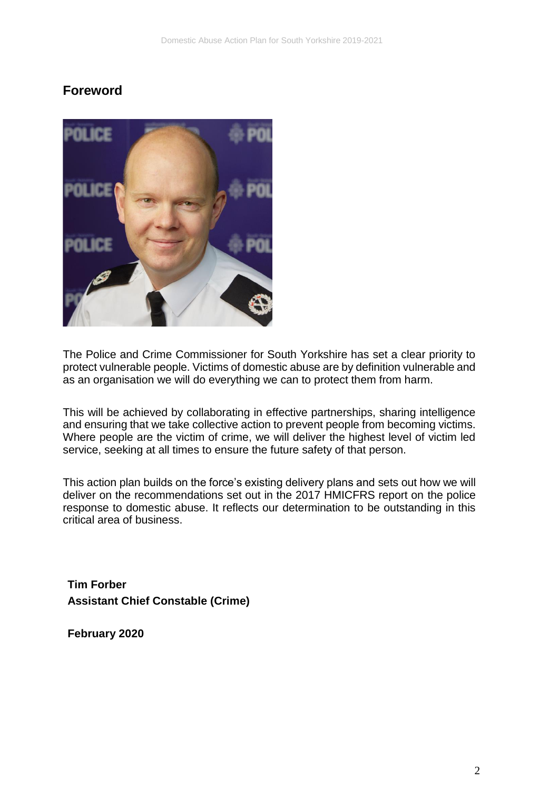## **Foreword**



The Police and Crime Commissioner for South Yorkshire has set a clear priority to protect vulnerable people. Victims of domestic abuse are by definition vulnerable and as an organisation we will do everything we can to protect them from harm.

This will be achieved by collaborating in effective partnerships, sharing intelligence and ensuring that we take collective action to prevent people from becoming victims. Where people are the victim of crime, we will deliver the highest level of victim led service, seeking at all times to ensure the future safety of that person.

This action plan builds on the force's existing delivery plans and sets out how we will deliver on the recommendations set out in the 2017 HMICFRS report on the police response to domestic abuse. It reflects our determination to be outstanding in this critical area of business.

**Tim Forber Assistant Chief Constable (Crime)**

**February 2020**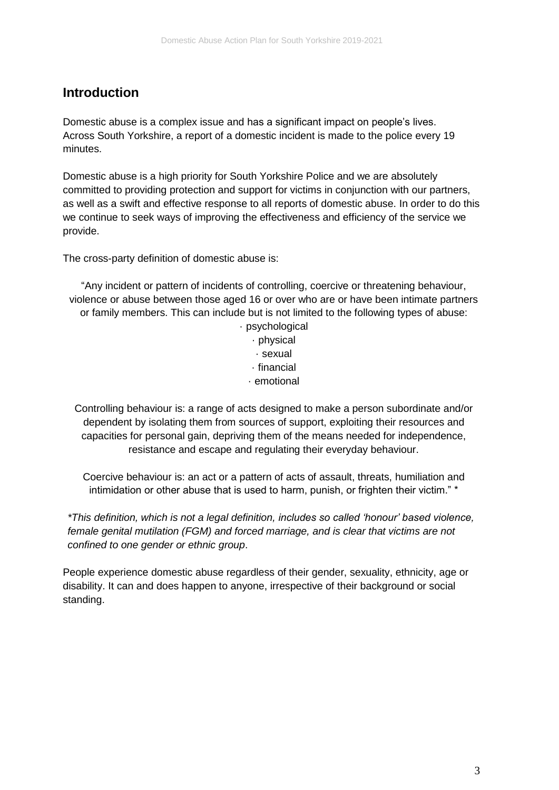## **Introduction**

Domestic abuse is a complex issue and has a significant impact on people's lives. Across South Yorkshire, a report of a domestic incident is made to the police every 19 minutes.

Domestic abuse is a high priority for South Yorkshire Police and we are absolutely committed to providing protection and support for victims in conjunction with our partners, as well as a swift and effective response to all reports of domestic abuse. In order to do this we continue to seek ways of improving the effectiveness and efficiency of the service we provide.

The cross-party definition of domestic abuse is:

"Any incident or pattern of incidents of controlling, coercive or threatening behaviour, violence or abuse between those aged 16 or over who are or have been intimate partners or family members. This can include but is not limited to the following types of abuse:

· psychological · physical · sexual · financial · emotional

Controlling behaviour is: a range of acts designed to make a person subordinate and/or dependent by isolating them from sources of support, exploiting their resources and capacities for personal gain, depriving them of the means needed for independence, resistance and escape and regulating their everyday behaviour.

Coercive behaviour is: an act or a pattern of acts of assault, threats, humiliation and intimidation or other abuse that is used to harm, punish, or frighten their victim." \*

*\*This definition, which is not a legal definition, includes so called 'honour' based violence, female genital mutilation (FGM) and forced marriage, and is clear that victims are not confined to one gender or ethnic group*.

People experience domestic abuse regardless of their gender, sexuality, ethnicity, age or disability. It can and does happen to anyone, irrespective of their background or social standing.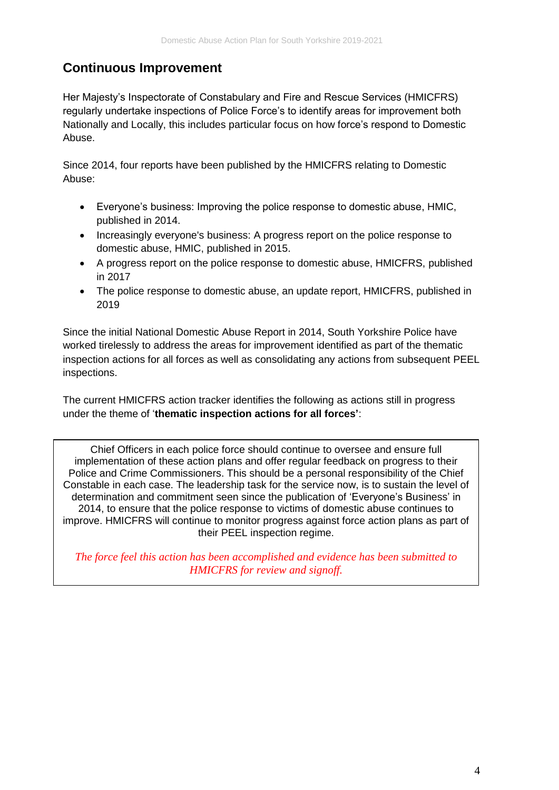## **Continuous Improvement**

Her Majesty's Inspectorate of Constabulary and Fire and Rescue Services (HMICFRS) regularly undertake inspections of Police Force's to identify areas for improvement both Nationally and Locally, this includes particular focus on how force's respond to Domestic Abuse.

Since 2014, four reports have been published by the HMICFRS relating to Domestic Abuse:

- Everyone's business: Improving the police response to domestic abuse, HMIC, published in 2014.
- Increasingly everyone's business: A progress report on the police response to domestic abuse, HMIC, published in 2015.
- A progress report on the police response to domestic abuse, HMICFRS, published in 2017
- The police response to domestic abuse, an update report, HMICFRS, published in 2019

Since the initial National Domestic Abuse Report in 2014, South Yorkshire Police have worked tirelessly to address the areas for improvement identified as part of the thematic inspection actions for all forces as well as consolidating any actions from subsequent PEEL inspections.

The current HMICFRS action tracker identifies the following as actions still in progress under the theme of '**thematic inspection actions for all forces'**:

Chief Officers in each police force should continue to oversee and ensure full implementation of these action plans and offer regular feedback on progress to their Police and Crime Commissioners. This should be a personal responsibility of the Chief Constable in each case. The leadership task for the service now, is to sustain the level of determination and commitment seen since the publication of 'Everyone's Business' in 2014, to ensure that the police response to victims of domestic abuse continues to improve. HMICFRS will continue to monitor progress against force action plans as part of their PEEL inspection regime.

*The force feel this action has been accomplished and evidence has been submitted to HMICFRS for review and signoff.*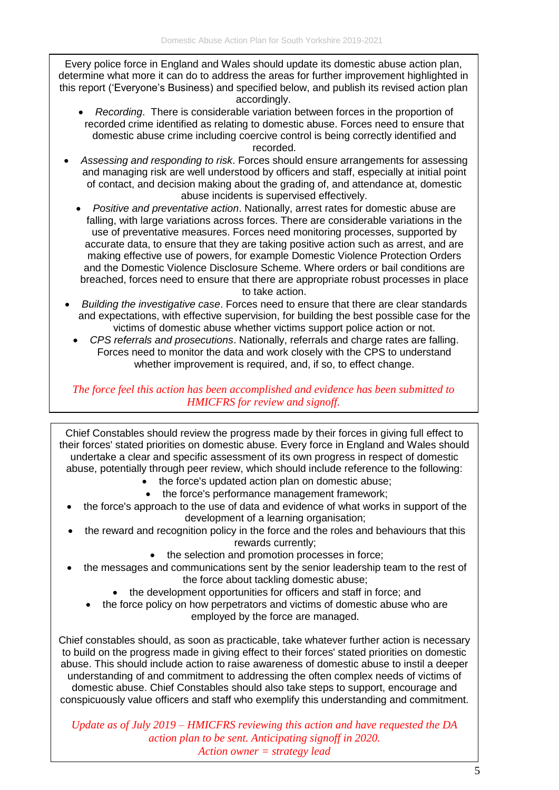Every police force in England and Wales should update its domestic abuse action plan, determine what more it can do to address the areas for further improvement highlighted in this report ('Everyone's Business) and specified below, and publish its revised action plan accordingly.

- *Recording*. There is considerable variation between forces in the proportion of recorded crime identified as relating to domestic abuse. Forces need to ensure that domestic abuse crime including coercive control is being correctly identified and recorded.
- *Assessing and responding to risk*. Forces should ensure arrangements for assessing and managing risk are well understood by officers and staff, especially at initial point of contact, and decision making about the grading of, and attendance at, domestic abuse incidents is supervised effectively.
	- *Positive and preventative action*. Nationally, arrest rates for domestic abuse are falling, with large variations across forces. There are considerable variations in the use of preventative measures. Forces need monitoring processes, supported by accurate data, to ensure that they are taking positive action such as arrest, and are making effective use of powers, for example Domestic Violence Protection Orders and the Domestic Violence Disclosure Scheme. Where orders or bail conditions are breached, forces need to ensure that there are appropriate robust processes in place to take action.
- *Building the investigative case*. Forces need to ensure that there are clear standards and expectations, with effective supervision, for building the best possible case for the victims of domestic abuse whether victims support police action or not.
	- *CPS referrals and prosecutions*. Nationally, referrals and charge rates are falling. Forces need to monitor the data and work closely with the CPS to understand whether improvement is required, and, if so, to effect change.

*The force feel this action has been accomplished and evidence has been submitted to HMICFRS for review and signoff.* 

Chief Constables should review the progress made by their forces in giving full effect to their forces' stated priorities on domestic abuse. Every force in England and Wales should undertake a clear and specific assessment of its own progress in respect of domestic abuse, potentially through peer review, which should include reference to the following:

- the force's updated action plan on domestic abuse;
- the force's performance management framework;
- the force's approach to the use of data and evidence of what works in support of the development of a learning organisation;
- the reward and recognition policy in the force and the roles and behaviours that this rewards currently;
	- the selection and promotion processes in force;
- the messages and communications sent by the senior leadership team to the rest of the force about tackling domestic abuse;
	- the development opportunities for officers and staff in force; and
	- the force policy on how perpetrators and victims of domestic abuse who are employed by the force are managed.

Chief constables should, as soon as practicable, take whatever further action is necessary to build on the progress made in giving effect to their forces' stated priorities on domestic abuse. This should include action to raise awareness of domestic abuse to instil a deeper understanding of and commitment to addressing the often complex needs of victims of domestic abuse. Chief Constables should also take steps to support, encourage and conspicuously value officers and staff who exemplify this understanding and commitment.

*Update as of July 2019 – HMICFRS reviewing this action and have requested the DA action plan to be sent. Anticipating signoff in 2020. Action owner = strategy lead*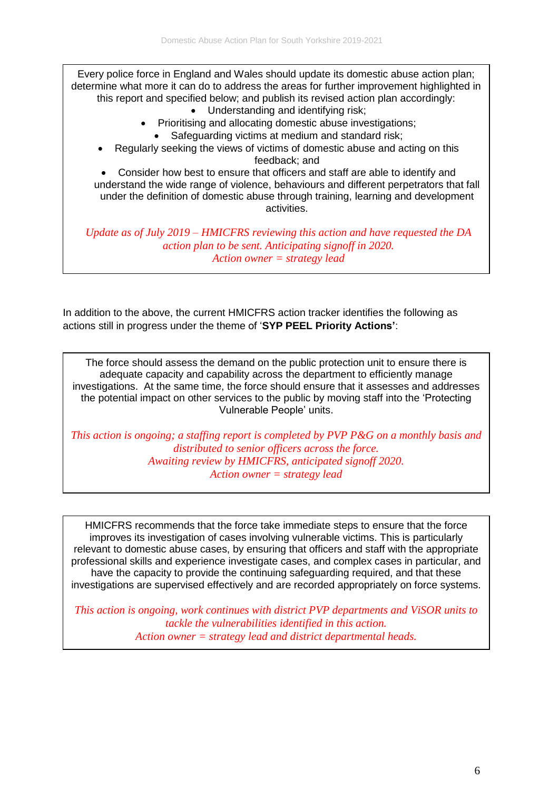Every police force in England and Wales should update its domestic abuse action plan; determine what more it can do to address the areas for further improvement highlighted in this report and specified below; and publish its revised action plan accordingly:

- Understanding and identifying risk;
- Prioritising and allocating domestic abuse investigations;
	- Safeguarding victims at medium and standard risk;
- Regularly seeking the views of victims of domestic abuse and acting on this feedback; and

 Consider how best to ensure that officers and staff are able to identify and understand the wide range of violence, behaviours and different perpetrators that fall under the definition of domestic abuse through training, learning and development activities.

*Update as of July 2019 – HMICFRS reviewing this action and have requested the DA action plan to be sent. Anticipating signoff in 2020. Action owner = strategy lead*

In addition to the above, the current HMICFRS action tracker identifies the following as actions still in progress under the theme of '**SYP PEEL Priority Actions'**:

The force should assess the demand on the public protection unit to ensure there is adequate capacity and capability across the department to efficiently manage investigations. At the same time, the force should ensure that it assesses and addresses the potential impact on other services to the public by moving staff into the 'Protecting Vulnerable People' units.

*This action is ongoing; a staffing report is completed by PVP P&G on a monthly basis and distributed to senior officers across the force. Awaiting review by HMICFRS, anticipated signoff 2020. Action owner = strategy lead*

HMICFRS recommends that the force take immediate steps to ensure that the force improves its investigation of cases involving vulnerable victims. This is particularly relevant to domestic abuse cases, by ensuring that officers and staff with the appropriate professional skills and experience investigate cases, and complex cases in particular, and have the capacity to provide the continuing safeguarding required, and that these investigations are supervised effectively and are recorded appropriately on force systems.

*This action is ongoing, work continues with district PVP departments and ViSOR units to tackle the vulnerabilities identified in this action. Action owner = strategy lead and district departmental heads.*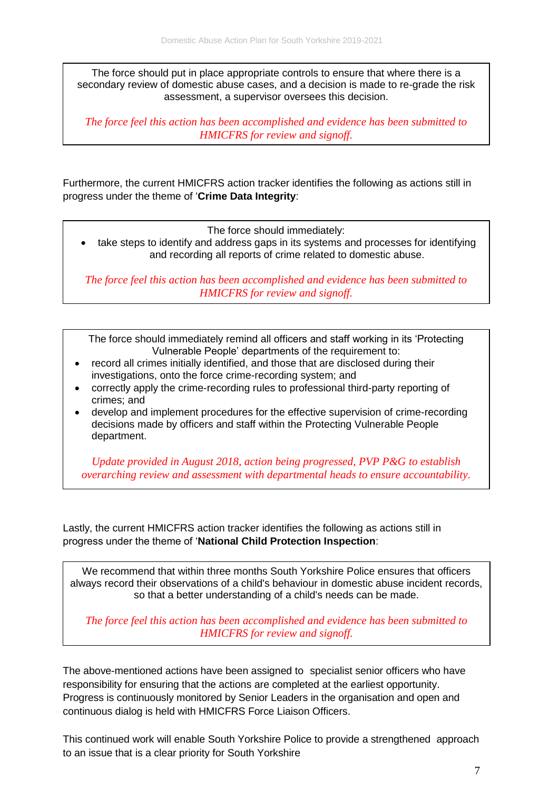The force should put in place appropriate controls to ensure that where there is a secondary review of domestic abuse cases, and a decision is made to re-grade the risk assessment, a supervisor oversees this decision.

*The force feel this action has been accomplished and evidence has been submitted to HMICFRS for review and signoff.* 

Furthermore, the current HMICFRS action tracker identifies the following as actions still in progress under the theme of '**Crime Data Integrity**:

The force should immediately:

 take steps to identify and address gaps in its systems and processes for identifying and recording all reports of crime related to domestic abuse.

*The force feel this action has been accomplished and evidence has been submitted to HMICFRS for review and signoff.* 

The force should immediately remind all officers and staff working in its 'Protecting Vulnerable People' departments of the requirement to:

- record all crimes initially identified, and those that are disclosed during their investigations, onto the force crime-recording system; and
- correctly apply the crime-recording rules to professional third-party reporting of crimes; and
- develop and implement procedures for the effective supervision of crime-recording decisions made by officers and staff within the Protecting Vulnerable People department.

*Update provided in August 2018, action being progressed, PVP P&G to establish overarching review and assessment with departmental heads to ensure accountability.* 

Lastly, the current HMICFRS action tracker identifies the following as actions still in progress under the theme of '**National Child Protection Inspection**:

We recommend that within three months South Yorkshire Police ensures that officers always record their observations of a child's behaviour in domestic abuse incident records, so that a better understanding of a child's needs can be made.

*The force feel this action has been accomplished and evidence has been submitted to HMICFRS for review and signoff.* 

The above-mentioned actions have been assigned to specialist senior officers who have responsibility for ensuring that the actions are completed at the earliest opportunity. Progress is continuously monitored by Senior Leaders in the organisation and open and continuous dialog is held with HMICFRS Force Liaison Officers.

This continued work will enable South Yorkshire Police to provide a strengthened approach to an issue that is a clear priority for South Yorkshire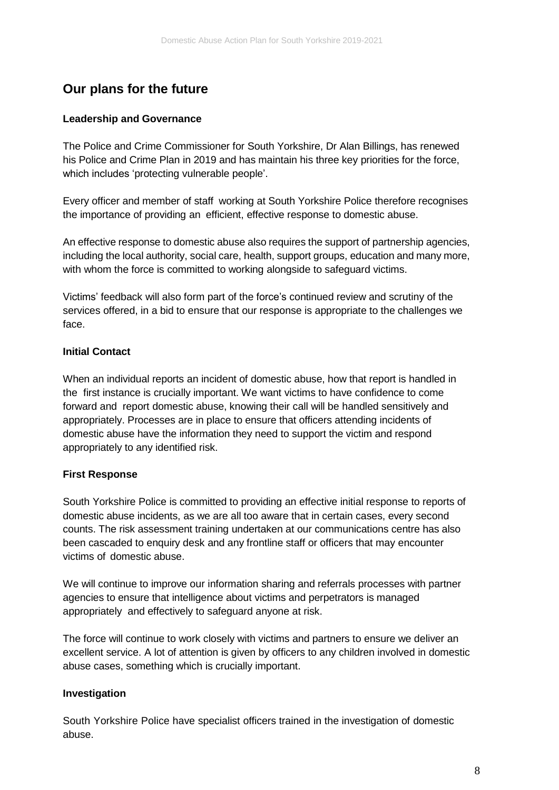# **Our plans for the future**

#### **Leadership and Governance**

The Police and Crime Commissioner for South Yorkshire, Dr Alan Billings, has renewed his Police and Crime Plan in 2019 and has maintain his three key priorities for the force, which includes 'protecting vulnerable people'.

Every officer and member of staff working at South Yorkshire Police therefore recognises the importance of providing an efficient, effective response to domestic abuse.

An effective response to domestic abuse also requires the support of partnership agencies, including the local authority, social care, health, support groups, education and many more, with whom the force is committed to working alongside to safeguard victims.

Victims' feedback will also form part of the force's continued review and scrutiny of the services offered, in a bid to ensure that our response is appropriate to the challenges we face.

#### **Initial Contact**

When an individual reports an incident of domestic abuse, how that report is handled in the first instance is crucially important. We want victims to have confidence to come forward and report domestic abuse, knowing their call will be handled sensitively and appropriately. Processes are in place to ensure that officers attending incidents of domestic abuse have the information they need to support the victim and respond appropriately to any identified risk.

#### **First Response**

South Yorkshire Police is committed to providing an effective initial response to reports of domestic abuse incidents, as we are all too aware that in certain cases, every second counts. The risk assessment training undertaken at our communications centre has also been cascaded to enquiry desk and any frontline staff or officers that may encounter victims of domestic abuse.

We will continue to improve our information sharing and referrals processes with partner agencies to ensure that intelligence about victims and perpetrators is managed appropriately and effectively to safeguard anyone at risk.

The force will continue to work closely with victims and partners to ensure we deliver an excellent service. A lot of attention is given by officers to any children involved in domestic abuse cases, something which is crucially important.

## **Investigation**

South Yorkshire Police have specialist officers trained in the investigation of domestic abuse.